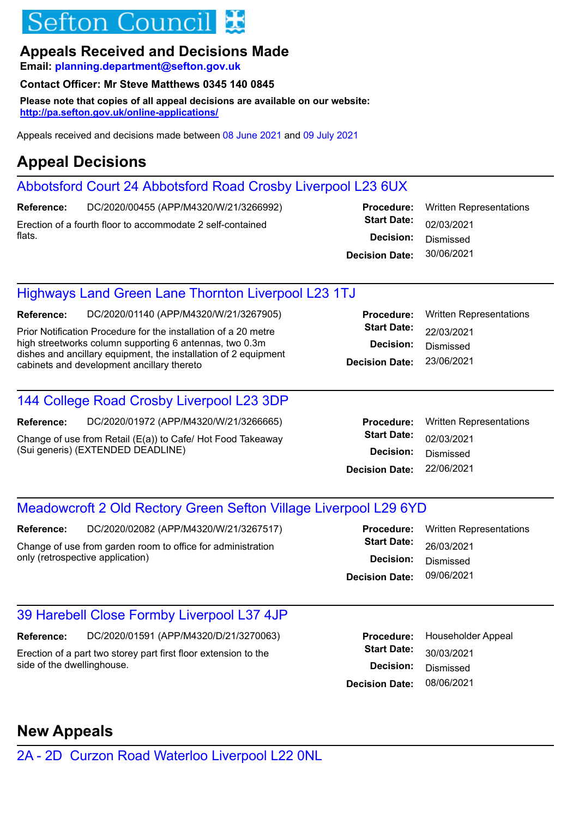# Sefton Counci

### **Appeals Received and Decisions Made**

**Email: planning.department@sefton.gov.uk**

### **Contact Officer: Mr Steve Matthews 0345 140 0845**

**Please note that copies of all appeal decisions are available on our website: http://pa.sefton.gov.uk/online-applications/**

Appeals received and decisions made between 08 June 2021 and 09 July 2021

## **Appeal Decisions**

## Abbotsford Court 24 Abbotsford Road Crosby Liverpool L23 6UX

DC/2020/00455 (APP/M4320/W/21/3266992) Erection of a fourth floor to accommodate 2 self-contained flats. **Reference:**

**Decision Date: Decision: Start Date: Procedure:** Written Representations 02/03/2021 30/06/2021 Dismissed

### Highways Land Green Lane Thornton Liverpool L23 1TJ

DC/2020/01140 (APP/M4320/W/21/3267905) **Reference:**

Prior Notification Procedure for the installation of a 20 metre high streetworks column supporting 6 antennas, two 0.3m dishes and ancillary equipment, the installation of 2 equipment cabinets and development ancillary thereto **D** 

### 144 College Road Crosby Liverpool L23 3DP

DC/2020/01972 (APP/M4320/W/21/3266665) **Reference:**

Change of use from Retail (E(a)) to Cafe/ Hot Food Takeaway (Sui generis) (EXTENDED DEADLINE)

|                    | <b>Procedure:</b> Written Representations |
|--------------------|-------------------------------------------|
| <b>Start Date:</b> | 22/03/2021                                |
| Decision:          | Dismissed                                 |
| ecision Date:      | 23/06/2021                                |
|                    |                                           |

|                       | <b>Procedure:</b> Written Representations |
|-----------------------|-------------------------------------------|
| <b>Start Date:</b>    | 02/03/2021                                |
| <b>Decision:</b>      | Dismissed                                 |
| <b>Decision Date:</b> | 22/06/2021                                |
|                       |                                           |

### Meadowcroft 2 Old Rectory Green Sefton Village Liverpool L29 6YD

DC/2020/02082 (APP/M4320/W/21/3267517) **Reference:**

Change of use from garden room to office for administration only (retrospective application)

|                       | <b>Procedure:</b> Written Representations |
|-----------------------|-------------------------------------------|
| <b>Start Date:</b>    | 26/03/2021                                |
| <b>Decision:</b>      | Dismissed                                 |
| <b>Decision Date:</b> | 09/06/2021                                |
|                       |                                           |

## 39 Harebell Close Formby Liverpool L37 4JP

DC/2020/01591 (APP/M4320/D/21/3270063) Erection of a part two storey part first floor extension to the side of the dwellinghouse. **Reference:**

|                       | Procedure: Householder Appeal |
|-----------------------|-------------------------------|
| <b>Start Date:</b>    | 30/03/2021                    |
| <b>Decision:</b>      | Dismissed                     |
| <b>Decision Date:</b> | 08/06/2021                    |

## **New Appeals**

2A - 2D Curzon Road Waterloo Liverpool L22 0NL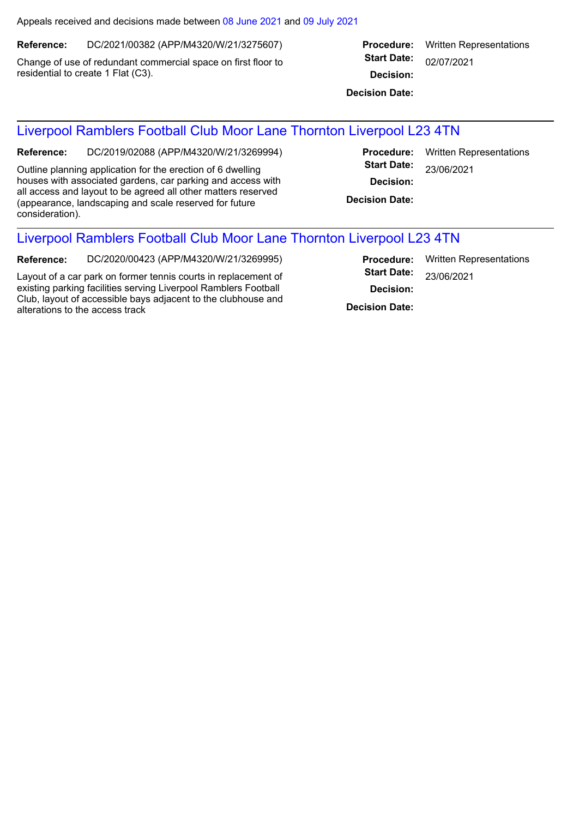Appeals received and decisions made between 08 June 2021 and 09 July 2021

DC/2021/00382 (APP/M4320/W/21/3275607) **Reference:**

Change of use of redundant commercial space on first floor to residential to create 1 Flat (C3).

|                    | <b>Procedure:</b> Written Representations |
|--------------------|-------------------------------------------|
| <b>Start Date:</b> | 02/07/2021                                |
| Decision:          |                                           |

**Decision Date:**

#### Liverpool Ramblers Football Club Moor Lane Thornton Liverpool L23 4TN

DC/2019/02088 (APP/M4320/W/21/3269994) **Reference:**

Outline planning application for the erection of 6 dwelling houses with associated gardens, car parking and access with all access and layout to be agreed all other matters reserved (appearance, landscaping and scale reserved for future consideration).

**Decision Date: Decision: Start Date: Procedure:** Written Representations 23/06/2021

### Liverpool Ramblers Football Club Moor Lane Thornton Liverpool L23 4TN

DC/2020/00423 (APP/M4320/W/21/3269995) **Reference:**

Layout of a car park on former tennis courts in replacement of existing parking facilities serving Liverpool Ramblers Football Club, layout of accessible bays adjacent to the clubhouse and alterations to the access track **Decision Date:**

**Decision: Start Date: Procedure:** Written Representations 23/06/2021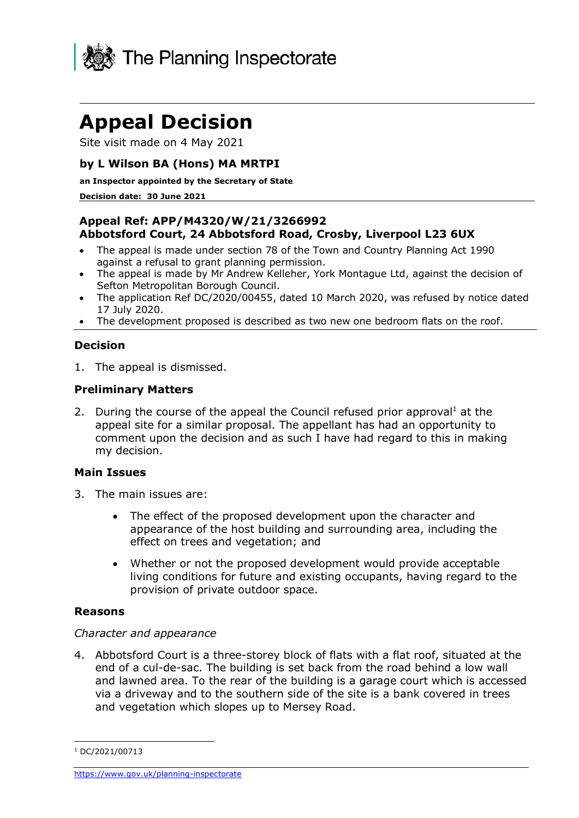

Site visit made on 4 May 2021

#### **by L Wilson BA (Hons) MA MRTPI**

#### **an Inspector appointed by the Secretary of State**

#### **Decision date: 30 June 2021**

#### **Appeal Ref: APP/M4320/W/21/3266992 Abbotsford Court, 24 Abbotsford Road, Crosby, Liverpool L23 6UX**

- The appeal is made under section 78 of the Town and Country Planning Act 1990 against a refusal to grant planning permission.
- The appeal is made by Mr Andrew Kelleher, York Montague Ltd, against the decision of Sefton Metropolitan Borough Council.
- The application Ref DC/2020/00455, dated 10 March 2020, was refused by notice dated 17 July 2020.
- The development proposed is described as two new one bedroom flats on the roof.

#### **Decision**

1. The appeal is dismissed.

#### **Preliminary Matters**

2. During the course of the appeal the Council refused prior approval<sup>1</sup> at the appeal site for a similar proposal. The appellant has had an opportunity to comment upon the decision and as such I have had regard to this in making my decision.

#### **Main Issues**

- 3. The main issues are:
	- The effect of the proposed development upon the character and appearance of the host building and surrounding area, including the effect on trees and vegetation; and
	- Whether or not the proposed development would provide acceptable living conditions for future and existing occupants, having regard to the provision of private outdoor space.

#### **Reasons**

#### *Character and appearance*

4. Abbotsford Court is a three-storey block of flats with a flat roof, situated at the end of a cul-de-sac. The building is set back from the road behind a low wall and lawned area. To the rear of the building is a garage court which is accessed via a driveway and to the southern side of the site is a bank covered in trees and vegetation which slopes up to Mersey Road.

 $1 D C/2021/00713$ 

<https://www.gov.uk/planning-inspectorate>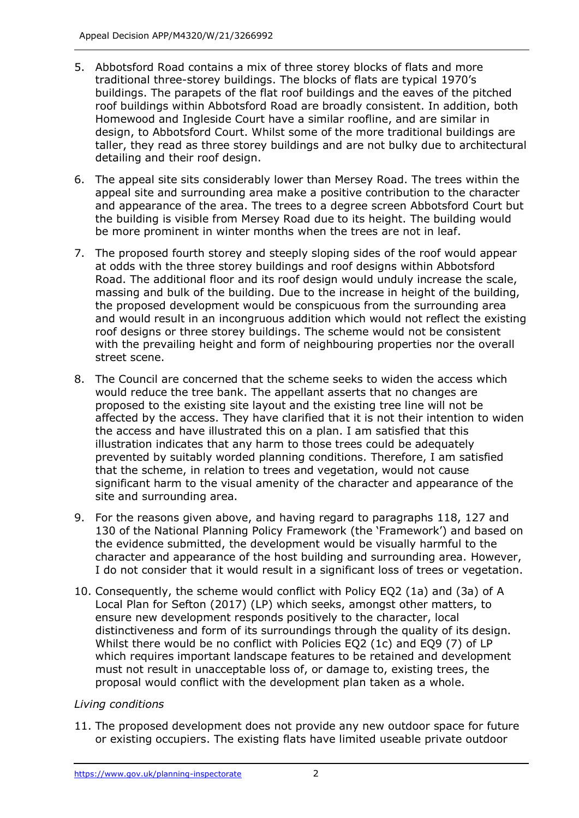- 5. Abbotsford Road contains a mix of three storey blocks of flats and more traditional three-storey buildings. The blocks of flats are typical 1970's buildings. The parapets of the flat roof buildings and the eaves of the pitched roof buildings within Abbotsford Road are broadly consistent. In addition, both Homewood and Ingleside Court have a similar roofline, and are similar in design, to Abbotsford Court. Whilst some of the more traditional buildings are taller, they read as three storey buildings and are not bulky due to architectural detailing and their roof design.
- 6. The appeal site sits considerably lower than Mersey Road. The trees within the appeal site and surrounding area make a positive contribution to the character and appearance of the area. The trees to a degree screen Abbotsford Court but the building is visible from Mersey Road due to its height. The building would be more prominent in winter months when the trees are not in leaf.
- 7. The proposed fourth storey and steeply sloping sides of the roof would appear at odds with the three storey buildings and roof designs within Abbotsford Road. The additional floor and its roof design would unduly increase the scale, massing and bulk of the building. Due to the increase in height of the building, the proposed development would be conspicuous from the surrounding area and would result in an incongruous addition which would not reflect the existing roof designs or three storey buildings. The scheme would not be consistent with the prevailing height and form of neighbouring properties nor the overall street scene.
- 8. The Council are concerned that the scheme seeks to widen the access which would reduce the tree bank. The appellant asserts that no changes are proposed to the existing site layout and the existing tree line will not be affected by the access. They have clarified that it is not their intention to widen the access and have illustrated this on a plan. I am satisfied that this illustration indicates that any harm to those trees could be adequately prevented by suitably worded planning conditions. Therefore, I am satisfied that the scheme, in relation to trees and vegetation, would not cause significant harm to the visual amenity of the character and appearance of the site and surrounding area.
- 9. For the reasons given above, and having regard to paragraphs 118, 127 and 130 of the National Planning Policy Framework (the 'Framework') and based on the evidence submitted, the development would be visually harmful to the character and appearance of the host building and surrounding area. However, I do not consider that it would result in a significant loss of trees or vegetation.
- 10. Consequently, the scheme would conflict with Policy EQ2 (1a) and (3a) of A Local Plan for Sefton (2017) (LP) which seeks, amongst other matters, to ensure new development responds positively to the character, local distinctiveness and form of its surroundings through the quality of its design. Whilst there would be no conflict with Policies EQ2 (1c) and EQ9 (7) of LP which requires important landscape features to be retained and development must not result in unacceptable loss of, or damage to, existing trees, the proposal would conflict with the development plan taken as a whole.

#### *Living conditions*

11. The proposed development does not provide any new outdoor space for future or existing occupiers. The existing flats have limited useable private outdoor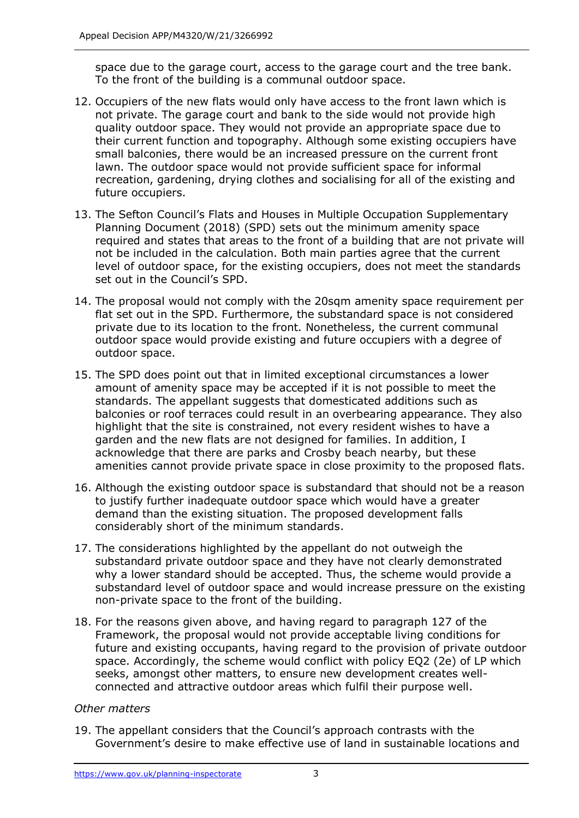space due to the garage court, access to the garage court and the tree bank. To the front of the building is a communal outdoor space.

- 12. Occupiers of the new flats would only have access to the front lawn which is not private. The garage court and bank to the side would not provide high quality outdoor space. They would not provide an appropriate space due to their current function and topography. Although some existing occupiers have small balconies, there would be an increased pressure on the current front lawn. The outdoor space would not provide sufficient space for informal recreation, gardening, drying clothes and socialising for all of the existing and future occupiers.
- 13. The Sefton Council's Flats and Houses in Multiple Occupation Supplementary Planning Document (2018) (SPD) sets out the minimum amenity space required and states that areas to the front of a building that are not private will not be included in the calculation. Both main parties agree that the current level of outdoor space, for the existing occupiers, does not meet the standards set out in the Council's SPD.
- 14. The proposal would not comply with the 20sqm amenity space requirement per flat set out in the SPD. Furthermore, the substandard space is not considered private due to its location to the front. Nonetheless, the current communal outdoor space would provide existing and future occupiers with a degree of outdoor space.
- 15. The SPD does point out that in limited exceptional circumstances a lower amount of amenity space may be accepted if it is not possible to meet the standards. The appellant suggests that domesticated additions such as balconies or roof terraces could result in an overbearing appearance. They also highlight that the site is constrained, not every resident wishes to have a garden and the new flats are not designed for families. In addition, I acknowledge that there are parks and Crosby beach nearby, but these amenities cannot provide private space in close proximity to the proposed flats.
- 16. Although the existing outdoor space is substandard that should not be a reason to justify further inadequate outdoor space which would have a greater demand than the existing situation. The proposed development falls considerably short of the minimum standards.
- 17. The considerations highlighted by the appellant do not outweigh the substandard private outdoor space and they have not clearly demonstrated why a lower standard should be accepted. Thus, the scheme would provide a substandard level of outdoor space and would increase pressure on the existing non-private space to the front of the building.
- 18. For the reasons given above, and having regard to paragraph 127 of the Framework, the proposal would not provide acceptable living conditions for future and existing occupants, having regard to the provision of private outdoor space. Accordingly, the scheme would conflict with policy EQ2 (2e) of LP which seeks, amongst other matters, to ensure new development creates wellconnected and attractive outdoor areas which fulfil their purpose well.

#### *Other matters*

19. The appellant considers that the Council's approach contrasts with the Government's desire to make effective use of land in sustainable locations and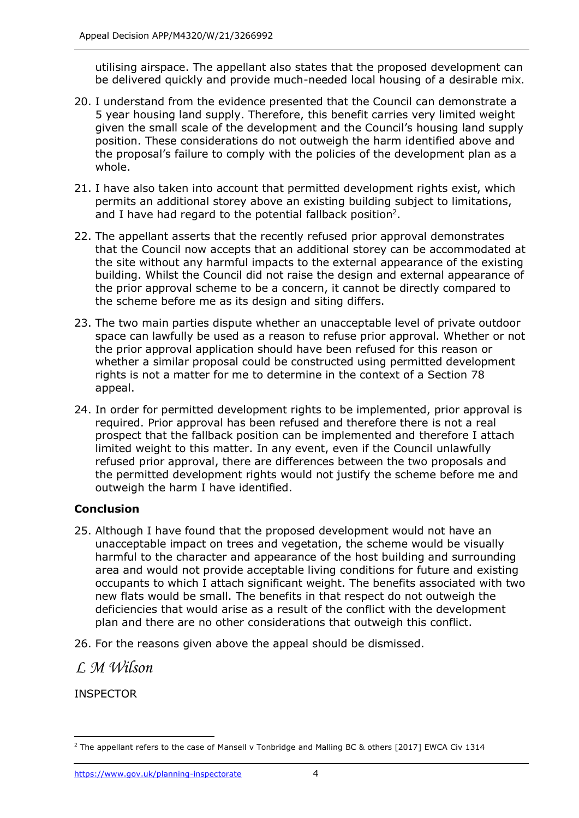utilising airspace. The appellant also states that the proposed development can be delivered quickly and provide much-needed local housing of a desirable mix.

- 20. I understand from the evidence presented that the Council can demonstrate a 5 year housing land supply. Therefore, this benefit carries very limited weight given the small scale of the development and the Council's housing land supply position. These considerations do not outweigh the harm identified above and the proposal's failure to comply with the policies of the development plan as a whole.
- 21. I have also taken into account that permitted development rights exist, which permits an additional storey above an existing building subject to limitations, and I have had regard to the potential fallback position<sup>2</sup>.
- 22. The appellant asserts that the recently refused prior approval demonstrates that the Council now accepts that an additional storey can be accommodated at the site without any harmful impacts to the external appearance of the existing building. Whilst the Council did not raise the design and external appearance of the prior approval scheme to be a concern, it cannot be directly compared to the scheme before me as its design and siting differs.
- 23. The two main parties dispute whether an unacceptable level of private outdoor space can lawfully be used as a reason to refuse prior approval. Whether or not the prior approval application should have been refused for this reason or whether a similar proposal could be constructed using permitted development rights is not a matter for me to determine in the context of a Section 78 appeal.
- 24. In order for permitted development rights to be implemented, prior approval is required. Prior approval has been refused and therefore there is not a real prospect that the fallback position can be implemented and therefore I attach limited weight to this matter. In any event, even if the Council unlawfully refused prior approval, there are differences between the two proposals and the permitted development rights would not justify the scheme before me and outweigh the harm I have identified.

#### **Conclusion**

- 25. Although I have found that the proposed development would not have an unacceptable impact on trees and vegetation, the scheme would be visually harmful to the character and appearance of the host building and surrounding area and would not provide acceptable living conditions for future and existing occupants to which I attach significant weight. The benefits associated with two new flats would be small. The benefits in that respect do not outweigh the deficiencies that would arise as a result of the conflict with the development plan and there are no other considerations that outweigh this conflict.
- 26. For the reasons given above the appeal should be dismissed.

*L M Wilson*

<sup>&</sup>lt;sup>2</sup> The appellant refers to the case of Mansell v Tonbridge and Malling BC & others [2017] EWCA Civ 1314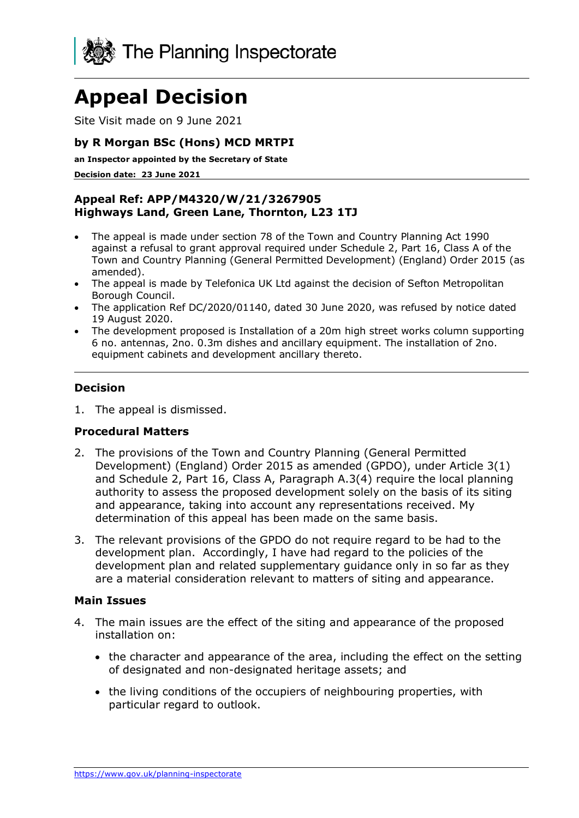

Site Visit made on 9 June 2021

#### **by R Morgan BSc (Hons) MCD MRTPI**

**an Inspector appointed by the Secretary of State** 

**Decision date: 23 June 2021**

#### **Appeal Ref: APP/M4320/W/21/3267905 Highways Land, Green Lane, Thornton, L23 1TJ**

- The appeal is made under section 78 of the Town and Country Planning Act 1990 against a refusal to grant approval required under Schedule 2, Part 16, Class A of the Town and Country Planning (General Permitted Development) (England) Order 2015 (as amended).
- The appeal is made by Telefonica UK Ltd against the decision of Sefton Metropolitan Borough Council.
- The application Ref DC/2020/01140, dated 30 June 2020, was refused by notice dated 19 August 2020.
- The development proposed is Installation of a 20m high street works column supporting 6 no. antennas, 2no. 0.3m dishes and ancillary equipment. The installation of 2no. equipment cabinets and development ancillary thereto.

#### **Decision**

1. The appeal is dismissed.

#### **Procedural Matters**

- 2. The provisions of the Town and Country Planning (General Permitted Development) (England) Order 2015 as amended (GPDO), under Article 3(1) and Schedule 2, Part 16, Class A, Paragraph A.3(4) require the local planning authority to assess the proposed development solely on the basis of its siting and appearance, taking into account any representations received. My determination of this appeal has been made on the same basis.
- 3. The relevant provisions of the GPDO do not require regard to be had to the development plan. Accordingly, I have had regard to the policies of the development plan and related supplementary guidance only in so far as they are a material consideration relevant to matters of siting and appearance.

#### **Main Issues**

- 4. The main issues are the effect of the siting and appearance of the proposed installation on:
	- the character and appearance of the area, including the effect on the setting of designated and non-designated heritage assets; and
	- the living conditions of the occupiers of neighbouring properties, with particular regard to outlook.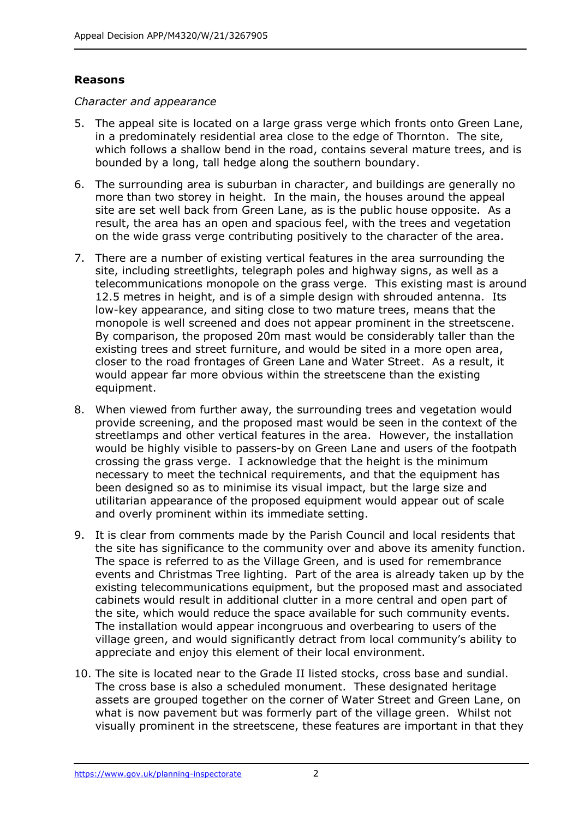#### **Reasons**

*Character and appearance*

- 5. The appeal site is located on a large grass verge which fronts onto Green Lane, in a predominately residential area close to the edge of Thornton. The site, which follows a shallow bend in the road, contains several mature trees, and is bounded by a long, tall hedge along the southern boundary.
- 6. The surrounding area is suburban in character, and buildings are generally no more than two storey in height. In the main, the houses around the appeal site are set well back from Green Lane, as is the public house opposite. As a result, the area has an open and spacious feel, with the trees and vegetation on the wide grass verge contributing positively to the character of the area.
- 7. There are a number of existing vertical features in the area surrounding the site, including streetlights, telegraph poles and highway signs, as well as a telecommunications monopole on the grass verge. This existing mast is around 12.5 metres in height, and is of a simple design with shrouded antenna. Its low-key appearance, and siting close to two mature trees, means that the monopole is well screened and does not appear prominent in the streetscene. By comparison, the proposed 20m mast would be considerably taller than the existing trees and street furniture, and would be sited in a more open area, closer to the road frontages of Green Lane and Water Street. As a result, it would appear far more obvious within the streetscene than the existing equipment.
- 8. When viewed from further away, the surrounding trees and vegetation would provide screening, and the proposed mast would be seen in the context of the streetlamps and other vertical features in the area. However, the installation would be highly visible to passers-by on Green Lane and users of the footpath crossing the grass verge. I acknowledge that the height is the minimum necessary to meet the technical requirements, and that the equipment has been designed so as to minimise its visual impact, but the large size and utilitarian appearance of the proposed equipment would appear out of scale and overly prominent within its immediate setting.
- 9. It is clear from comments made by the Parish Council and local residents that the site has significance to the community over and above its amenity function. The space is referred to as the Village Green, and is used for remembrance events and Christmas Tree lighting. Part of the area is already taken up by the existing telecommunications equipment, but the proposed mast and associated cabinets would result in additional clutter in a more central and open part of the site, which would reduce the space available for such community events. The installation would appear incongruous and overbearing to users of the village green, and would significantly detract from local community's ability to appreciate and enjoy this element of their local environment.
- 10. The site is located near to the Grade II listed stocks, cross base and sundial. The cross base is also a scheduled monument. These designated heritage assets are grouped together on the corner of Water Street and Green Lane, on what is now pavement but was formerly part of the village green. Whilst not visually prominent in the streetscene, these features are important in that they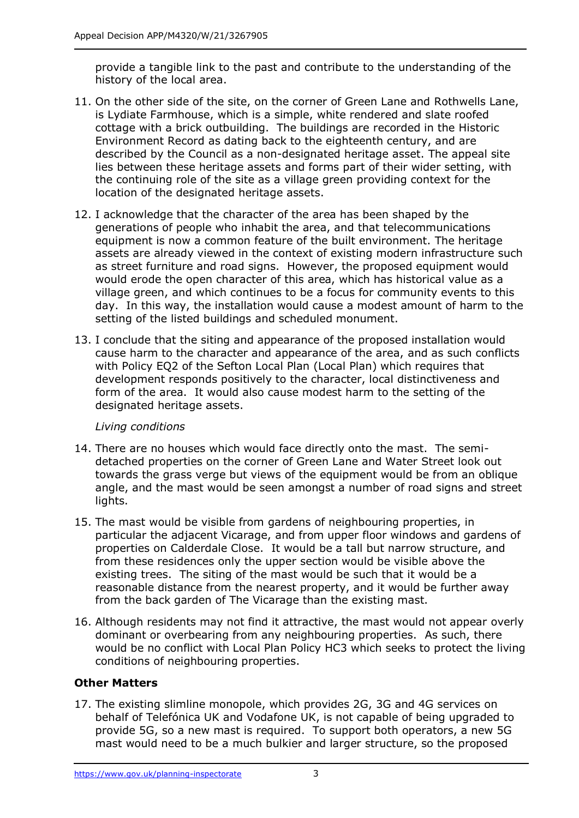provide a tangible link to the past and contribute to the understanding of the history of the local area.

- 11. On the other side of the site, on the corner of Green Lane and Rothwells Lane, is Lydiate Farmhouse, which is a simple, white rendered and slate roofed cottage with a brick outbuilding. The buildings are recorded in the Historic Environment Record as dating back to the eighteenth century, and are described by the Council as a non-designated heritage asset. The appeal site lies between these heritage assets and forms part of their wider setting, with the continuing role of the site as a village green providing context for the location of the designated heritage assets.
- 12. I acknowledge that the character of the area has been shaped by the generations of people who inhabit the area, and that telecommunications equipment is now a common feature of the built environment. The heritage assets are already viewed in the context of existing modern infrastructure such as street furniture and road signs. However, the proposed equipment would would erode the open character of this area, which has historical value as a village green, and which continues to be a focus for community events to this day. In this way, the installation would cause a modest amount of harm to the setting of the listed buildings and scheduled monument.
- 13. I conclude that the siting and appearance of the proposed installation would cause harm to the character and appearance of the area, and as such conflicts with Policy EQ2 of the Sefton Local Plan (Local Plan) which requires that development responds positively to the character, local distinctiveness and form of the area. It would also cause modest harm to the setting of the designated heritage assets.

#### *Living conditions*

- 14. There are no houses which would face directly onto the mast. The semidetached properties on the corner of Green Lane and Water Street look out towards the grass verge but views of the equipment would be from an oblique angle, and the mast would be seen amongst a number of road signs and street lights.
- 15. The mast would be visible from gardens of neighbouring properties, in particular the adjacent Vicarage, and from upper floor windows and gardens of properties on Calderdale Close. It would be a tall but narrow structure, and from these residences only the upper section would be visible above the existing trees. The siting of the mast would be such that it would be a reasonable distance from the nearest property, and it would be further away from the back garden of The Vicarage than the existing mast.
- 16. Although residents may not find it attractive, the mast would not appear overly dominant or overbearing from any neighbouring properties. As such, there would be no conflict with Local Plan Policy HC3 which seeks to protect the living conditions of neighbouring properties.

#### **Other Matters**

17. The existing slimline monopole, which provides 2G, 3G and 4G services on behalf of Telefónica UK and Vodafone UK, is not capable of being upgraded to provide 5G, so a new mast is required. To support both operators, a new 5G mast would need to be a much bulkier and larger structure, so the proposed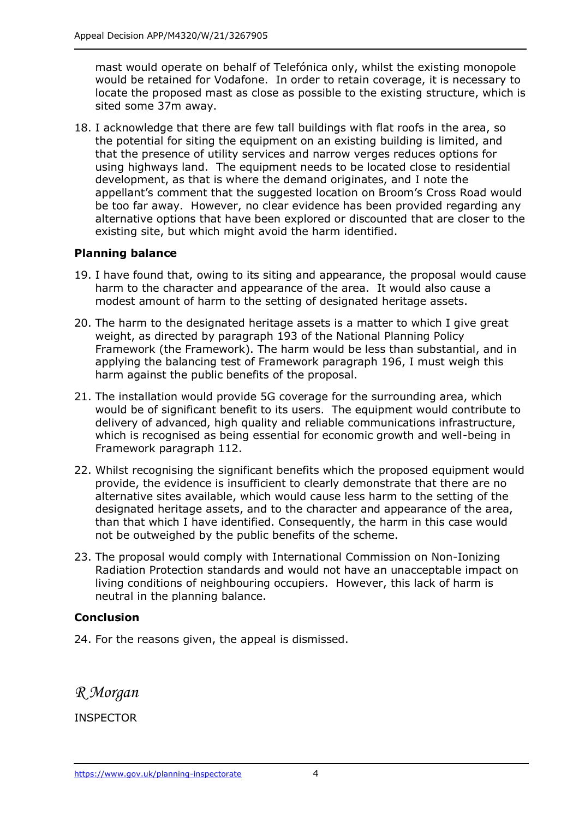mast would operate on behalf of Telefónica only, whilst the existing monopole would be retained for Vodafone. In order to retain coverage, it is necessary to locate the proposed mast as close as possible to the existing structure, which is sited some 37m away.

18. I acknowledge that there are few tall buildings with flat roofs in the area, so the potential for siting the equipment on an existing building is limited, and that the presence of utility services and narrow verges reduces options for using highways land. The equipment needs to be located close to residential development, as that is where the demand originates, and I note the appellant's comment that the suggested location on Broom's Cross Road would be too far away. However, no clear evidence has been provided regarding any alternative options that have been explored or discounted that are closer to the existing site, but which might avoid the harm identified.

#### **Planning balance**

- 19. I have found that, owing to its siting and appearance, the proposal would cause harm to the character and appearance of the area. It would also cause a modest amount of harm to the setting of designated heritage assets.
- 20. The harm to the designated heritage assets is a matter to which I give great weight, as directed by paragraph 193 of the National Planning Policy Framework (the Framework). The harm would be less than substantial, and in applying the balancing test of Framework paragraph 196, I must weigh this harm against the public benefits of the proposal.
- 21. The installation would provide 5G coverage for the surrounding area, which would be of significant benefit to its users. The equipment would contribute to delivery of advanced, high quality and reliable communications infrastructure, which is recognised as being essential for economic growth and well-being in Framework paragraph 112.
- 22. Whilst recognising the significant benefits which the proposed equipment would provide, the evidence is insufficient to clearly demonstrate that there are no alternative sites available, which would cause less harm to the setting of the designated heritage assets, and to the character and appearance of the area, than that which I have identified. Consequently, the harm in this case would not be outweighed by the public benefits of the scheme.
- 23. The proposal would comply with International Commission on Non-Ionizing Radiation Protection standards and would not have an unacceptable impact on living conditions of neighbouring occupiers. However, this lack of harm is neutral in the planning balance.

#### **Conclusion**

24. For the reasons given, the appeal is dismissed.

*R Morgan*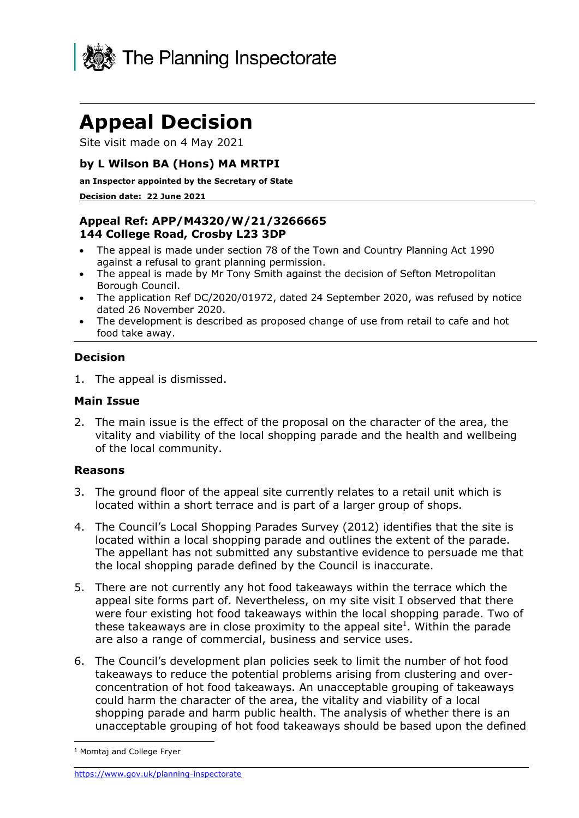

Site visit made on 4 May 2021

#### **by L Wilson BA (Hons) MA MRTPI**

**an Inspector appointed by the Secretary of State** 

**Decision date: 22 June 2021**

#### **Appeal Ref: APP/M4320/W/21/3266665 144 College Road, Crosby L23 3DP**

- The appeal is made under section 78 of the Town and Country Planning Act 1990 against a refusal to grant planning permission.
- The appeal is made by Mr Tony Smith against the decision of Sefton Metropolitan Borough Council.
- The application Ref DC/2020/01972, dated 24 September 2020, was refused by notice dated 26 November 2020.
- The development is described as proposed change of use from retail to cafe and hot food take away.

#### **Decision**

1. The appeal is dismissed.

#### **Main Issue**

2. The main issue is the effect of the proposal on the character of the area, the vitality and viability of the local shopping parade and the health and wellbeing of the local community.

#### **Reasons**

- 3. The ground floor of the appeal site currently relates to a retail unit which is located within a short terrace and is part of a larger group of shops.
- 4. The Council's Local Shopping Parades Survey (2012) identifies that the site is located within a local shopping parade and outlines the extent of the parade. The appellant has not submitted any substantive evidence to persuade me that the local shopping parade defined by the Council is inaccurate.
- 5. There are not currently any hot food takeaways within the terrace which the appeal site forms part of. Nevertheless, on my site visit I observed that there were four existing hot food takeaways within the local shopping parade. Two of these takeaways are in close proximity to the appeal site<sup>1</sup>. Within the parade are also a range of commercial, business and service uses.
- 6. The Council's development plan policies seek to limit the number of hot food takeaways to reduce the potential problems arising from clustering and overconcentration of hot food takeaways. An unacceptable grouping of takeaways could harm the character of the area, the vitality and viability of a local shopping parade and harm public health. The analysis of whether there is an unacceptable grouping of hot food takeaways should be based upon the defined

<sup>1</sup> Momtaj and College Fryer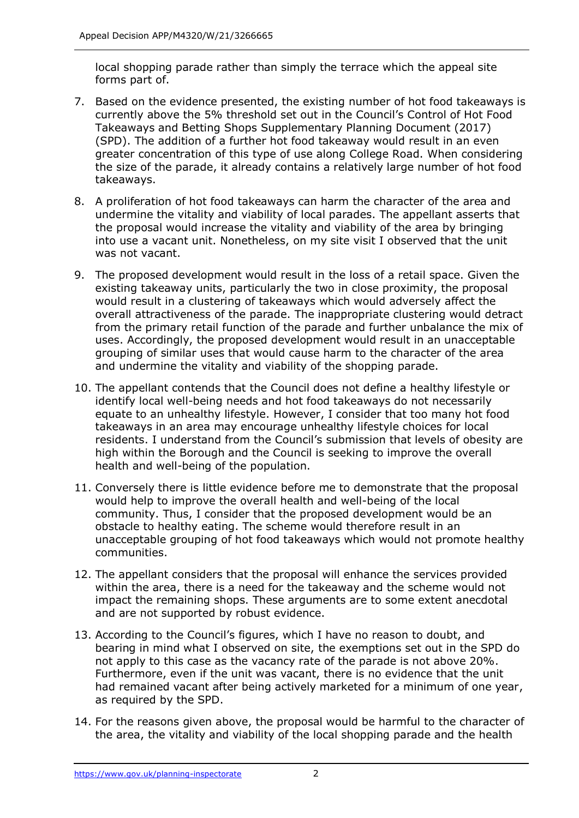local shopping parade rather than simply the terrace which the appeal site forms part of.

- 7. Based on the evidence presented, the existing number of hot food takeaways is currently above the 5% threshold set out in the Council's Control of Hot Food Takeaways and Betting Shops Supplementary Planning Document (2017) (SPD). The addition of a further hot food takeaway would result in an even greater concentration of this type of use along College Road. When considering the size of the parade, it already contains a relatively large number of hot food takeaways.
- 8. A proliferation of hot food takeaways can harm the character of the area and undermine the vitality and viability of local parades. The appellant asserts that the proposal would increase the vitality and viability of the area by bringing into use a vacant unit. Nonetheless, on my site visit I observed that the unit was not vacant.
- 9. The proposed development would result in the loss of a retail space. Given the existing takeaway units, particularly the two in close proximity, the proposal would result in a clustering of takeaways which would adversely affect the overall attractiveness of the parade. The inappropriate clustering would detract from the primary retail function of the parade and further unbalance the mix of uses. Accordingly, the proposed development would result in an unacceptable grouping of similar uses that would cause harm to the character of the area and undermine the vitality and viability of the shopping parade.
- 10. The appellant contends that the Council does not define a healthy lifestyle or identify local well-being needs and hot food takeaways do not necessarily equate to an unhealthy lifestyle. However, I consider that too many hot food takeaways in an area may encourage unhealthy lifestyle choices for local residents. I understand from the Council's submission that levels of obesity are high within the Borough and the Council is seeking to improve the overall health and well-being of the population.
- 11. Conversely there is little evidence before me to demonstrate that the proposal would help to improve the overall health and well-being of the local community. Thus, I consider that the proposed development would be an obstacle to healthy eating. The scheme would therefore result in an unacceptable grouping of hot food takeaways which would not promote healthy communities.
- 12. The appellant considers that the proposal will enhance the services provided within the area, there is a need for the takeaway and the scheme would not impact the remaining shops. These arguments are to some extent anecdotal and are not supported by robust evidence.
- 13. According to the Council's figures, which I have no reason to doubt, and bearing in mind what I observed on site, the exemptions set out in the SPD do not apply to this case as the vacancy rate of the parade is not above 20%. Furthermore, even if the unit was vacant, there is no evidence that the unit had remained vacant after being actively marketed for a minimum of one year, as required by the SPD.
- 14. For the reasons given above, the proposal would be harmful to the character of the area, the vitality and viability of the local shopping parade and the health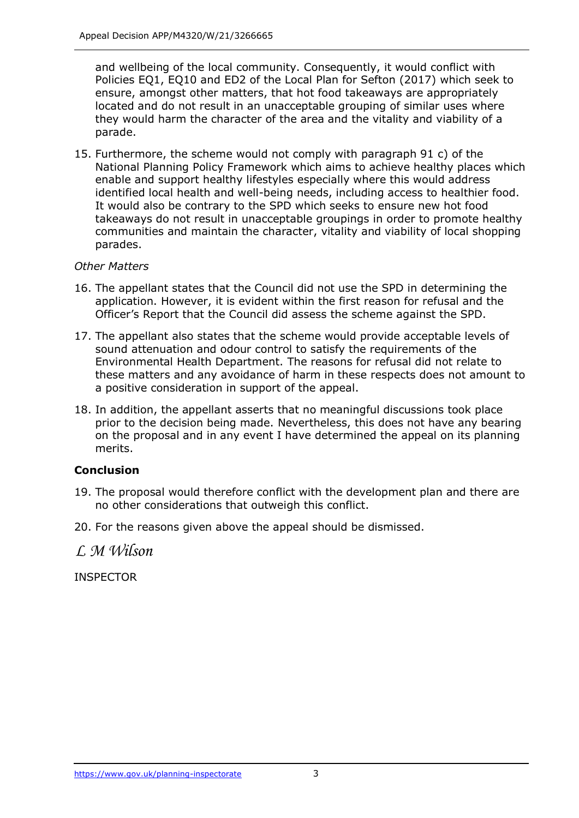and wellbeing of the local community. Consequently, it would conflict with Policies EQ1, EQ10 and ED2 of the Local Plan for Sefton (2017) which seek to ensure, amongst other matters, that hot food takeaways are appropriately located and do not result in an unacceptable grouping of similar uses where they would harm the character of the area and the vitality and viability of a parade.

15. Furthermore, the scheme would not comply with paragraph 91 c) of the National Planning Policy Framework which aims to achieve healthy places which enable and support healthy lifestyles especially where this would address identified local health and well-being needs, including access to healthier food. It would also be contrary to the SPD which seeks to ensure new hot food takeaways do not result in unacceptable groupings in order to promote healthy communities and maintain the character, vitality and viability of local shopping parades.

#### *Other Matters*

- 16. The appellant states that the Council did not use the SPD in determining the application. However, it is evident within the first reason for refusal and the Officer's Report that the Council did assess the scheme against the SPD.
- 17. The appellant also states that the scheme would provide acceptable levels of sound attenuation and odour control to satisfy the requirements of the Environmental Health Department. The reasons for refusal did not relate to these matters and any avoidance of harm in these respects does not amount to a positive consideration in support of the appeal.
- 18. In addition, the appellant asserts that no meaningful discussions took place prior to the decision being made. Nevertheless, this does not have any bearing on the proposal and in any event I have determined the appeal on its planning merits.

#### **Conclusion**

- 19. The proposal would therefore conflict with the development plan and there are no other considerations that outweigh this conflict.
- 20. For the reasons given above the appeal should be dismissed.

*L M Wilson*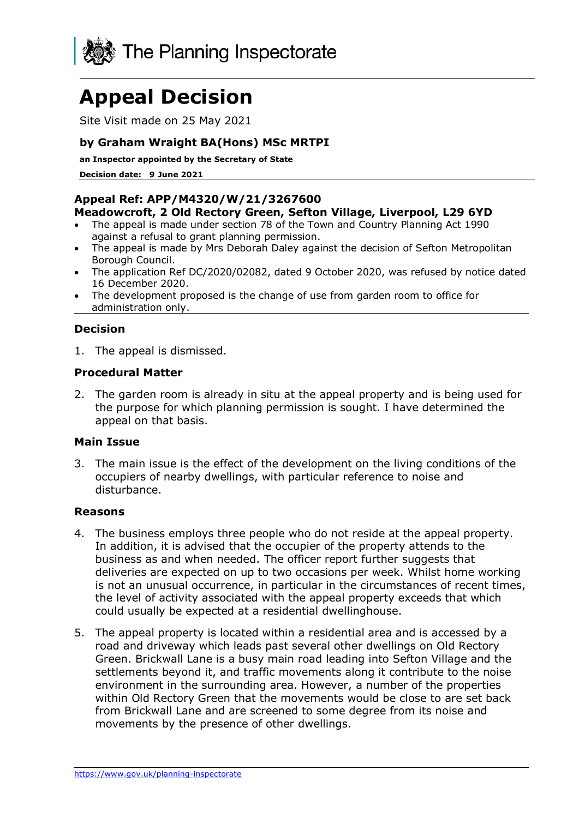

Site Visit made on 25 May 2021

#### **by Graham Wraight BA(Hons) MSc MRTPI**

**an Inspector appointed by the Secretary of State** 

**Decision date: 9 June 2021**

#### **Appeal Ref: APP/M4320/W/21/3267600 Meadowcroft, 2 Old Rectory Green, Sefton Village, Liverpool, L29 6YD**

- The appeal is made under section 78 of the Town and Country Planning Act 1990 against a refusal to grant planning permission.
- The appeal is made by Mrs Deborah Daley against the decision of Sefton Metropolitan Borough Council.
- The application Ref DC/2020/02082, dated 9 October 2020, was refused by notice dated 16 December 2020.
- The development proposed is the change of use from garden room to office for administration only.

#### **Decision**

1. The appeal is dismissed.

#### **Procedural Matter**

2. The garden room is already in situ at the appeal property and is being used for the purpose for which planning permission is sought. I have determined the appeal on that basis.

#### **Main Issue**

3. The main issue is the effect of the development on the living conditions of the occupiers of nearby dwellings, with particular reference to noise and disturbance.

#### **Reasons**

- 4. The business employs three people who do not reside at the appeal property. In addition, it is advised that the occupier of the property attends to the business as and when needed. The officer report further suggests that deliveries are expected on up to two occasions per week. Whilst home working is not an unusual occurrence, in particular in the circumstances of recent times, the level of activity associated with the appeal property exceeds that which could usually be expected at a residential dwellinghouse.
- 5. The appeal property is located within a residential area and is accessed by a road and driveway which leads past several other dwellings on Old Rectory Green. Brickwall Lane is a busy main road leading into Sefton Village and the settlements beyond it, and traffic movements along it contribute to the noise environment in the surrounding area. However, a number of the properties within Old Rectory Green that the movements would be close to are set back from Brickwall Lane and are screened to some degree from its noise and movements by the presence of other dwellings.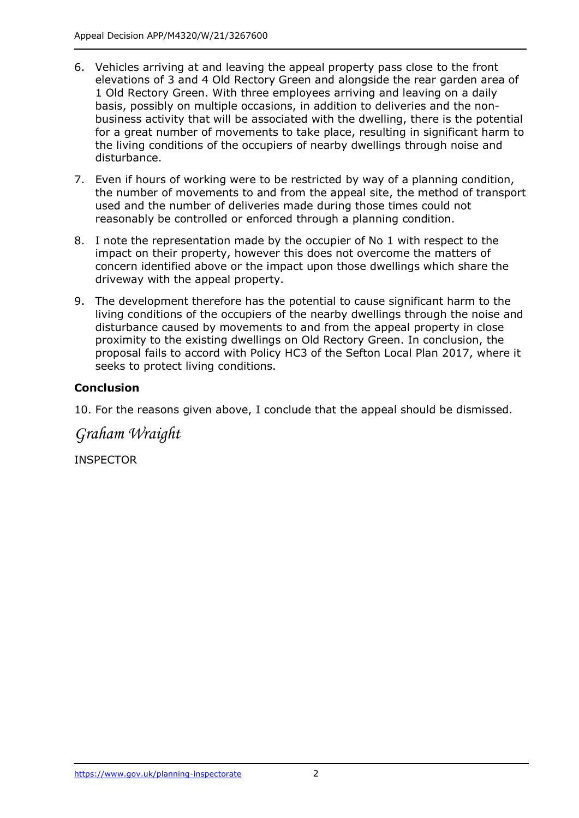- 6. Vehicles arriving at and leaving the appeal property pass close to the front elevations of 3 and 4 Old Rectory Green and alongside the rear garden area of 1 Old Rectory Green. With three employees arriving and leaving on a daily basis, possibly on multiple occasions, in addition to deliveries and the nonbusiness activity that will be associated with the dwelling, there is the potential for a great number of movements to take place, resulting in significant harm to the living conditions of the occupiers of nearby dwellings through noise and disturbance.
- 7. Even if hours of working were to be restricted by way of a planning condition, the number of movements to and from the appeal site, the method of transport used and the number of deliveries made during those times could not reasonably be controlled or enforced through a planning condition.
- 8. I note the representation made by the occupier of No 1 with respect to the impact on their property, however this does not overcome the matters of concern identified above or the impact upon those dwellings which share the driveway with the appeal property.
- 9. The development therefore has the potential to cause significant harm to the living conditions of the occupiers of the nearby dwellings through the noise and disturbance caused by movements to and from the appeal property in close proximity to the existing dwellings on Old Rectory Green. In conclusion, the proposal fails to accord with Policy HC3 of the Sefton Local Plan 2017, where it seeks to protect living conditions.

#### **Conclusion**

10. For the reasons given above, I conclude that the appeal should be dismissed.

*Graham Wraight*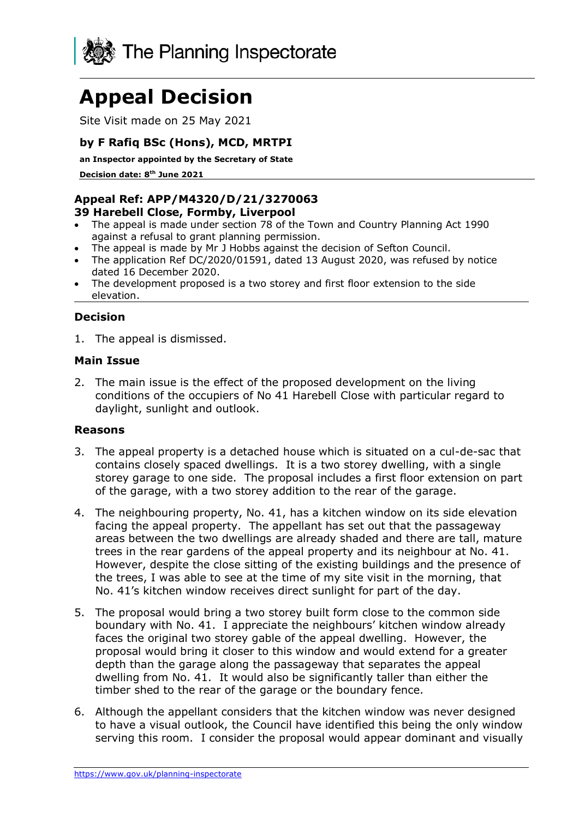

Site Visit made on 25 May 2021

#### **by F Rafiq BSc (Hons), MCD, MRTPI**

**an Inspector appointed by the Secretary of State** 

**Decision date: 8 th June 2021**

#### **Appeal Ref: APP/M4320/D/21/3270063 39 Harebell Close, Formby, Liverpool**

- The appeal is made under section 78 of the Town and Country Planning Act 1990 against a refusal to grant planning permission.
- The appeal is made by Mr J Hobbs against the decision of Sefton Council.
- The application Ref DC/2020/01591, dated 13 August 2020, was refused by notice dated 16 December 2020.
- The development proposed is a two storey and first floor extension to the side elevation.

#### **Decision**

1. The appeal is dismissed.

#### **Main Issue**

2. The main issue is the effect of the proposed development on the living conditions of the occupiers of No 41 Harebell Close with particular regard to daylight, sunlight and outlook.

#### **Reasons**

- 3. The appeal property is a detached house which is situated on a cul-de-sac that contains closely spaced dwellings. It is a two storey dwelling, with a single storey garage to one side. The proposal includes a first floor extension on part of the garage, with a two storey addition to the rear of the garage.
- 4. The neighbouring property, No. 41, has a kitchen window on its side elevation facing the appeal property. The appellant has set out that the passageway areas between the two dwellings are already shaded and there are tall, mature trees in the rear gardens of the appeal property and its neighbour at No. 41. However, despite the close sitting of the existing buildings and the presence of the trees, I was able to see at the time of my site visit in the morning, that No. 41's kitchen window receives direct sunlight for part of the day.
- 5. The proposal would bring a two storey built form close to the common side boundary with No. 41. I appreciate the neighbours' kitchen window already faces the original two storey gable of the appeal dwelling. However, the proposal would bring it closer to this window and would extend for a greater depth than the garage along the passageway that separates the appeal dwelling from No. 41. It would also be significantly taller than either the timber shed to the rear of the garage or the boundary fence.
- 6. Although the appellant considers that the kitchen window was never designed to have a visual outlook, the Council have identified this being the only window serving this room. I consider the proposal would appear dominant and visually